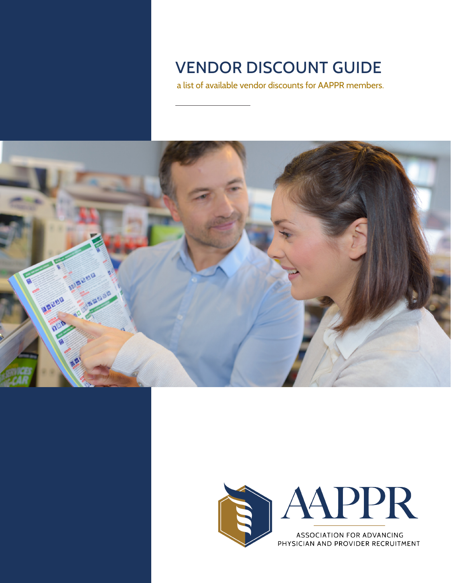# VENDOR DISCOUNT GUIDE

a list of available vendor discounts for AAPPR members.





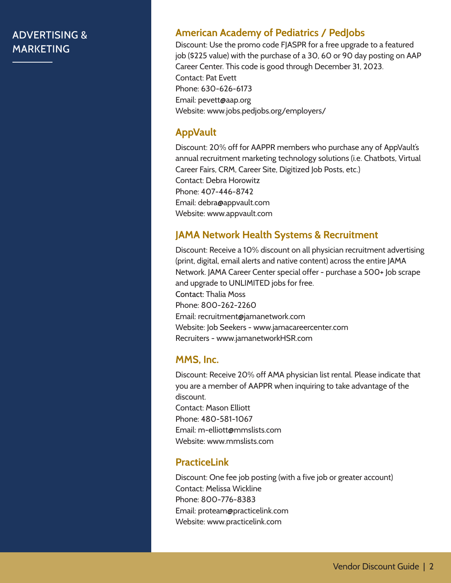# ADVERTISING & MARKETING

#### **American Academy of Pediatrics / PedJobs**

Discount: Use the promo code FJASPR for a free upgrade to a featured job (\$225 value) with the purchase of a 30, 60 or 90 day posting on AAP Career Center. This code is good through December 31, 2023. Contact: Pat Evett Phone: 630-626-6173 Email: pevett@aap.org Website: www.jobs.pedjobs.org/employers/

#### **AppVault**

Discount: 20% off for AAPPR members who purchase any of AppVault's annual recruitment marketing technology solutions (i.e. Chatbots, Virtual Career Fairs, CRM, Career Site, Digitized Job Posts, etc.) Contact: Debra Horowitz Phone: 407-446-8742 Email: debra@appvault.com Website: www.appvault.com

#### **JAMA Network Health Systems & Recruitment**

Discount: Receive a 10% discount on all physician recruitment advertising (print, digital, email alerts and native content) across the entire JAMA Network. JAMA Career Center special offer - purchase a 500+ Job scrape and upgrade to UNLIMITED jobs for free. Contact: Thalia Moss Phone: 800-262-2260 Email: recruitment@jamanetwork.com Website: Job Seekers - www.jamacareercenter.com Recruiters - www.jamanetworkHSR.com

#### **MMS, Inc.**

Discount: Receive 20% off AMA physician list rental. Please indicate that you are a member of AAPPR when inquiring to take advantage of the discount. Contact: Mason Elliott Phone: 480-581-1067 Email: m-elliott@mmslists.com Website: www.mmslists.com

#### **PracticeLink**

Discount: One fee job posting (with a five job or greater account) Contact: Melissa Wickline Phone: 800-776-8383 Email: proteam@practicelink.com Website: www.practicelink.com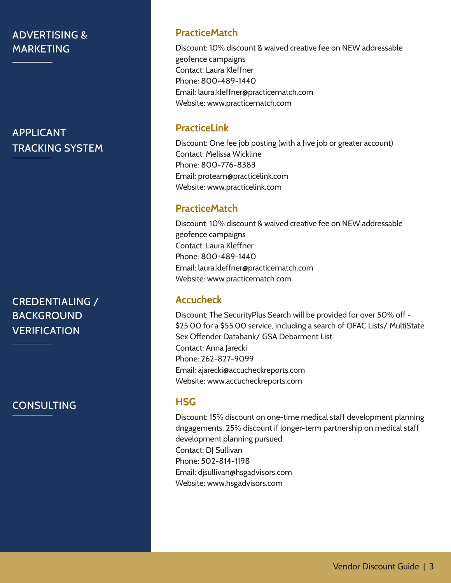# ADVERTISING & MARKETING

APPLICANT TRACKING SYSTEM

CREDENTIALING / BACKGROUND **VERIFICATION** 

**CONSULTING** 

#### **PracticeMatch**

Discount: 10% discount & waived creative fee on NEW addressable geofence campaigns Contact: Laura Kleffner Phone: 800-489-1440 Email: laura.kleffner@practicematch.com Website: www.practicematch.com

## **PracticeLink**

Discount: One fee job posting (with a five job or greater account) Contact: Melissa Wickline Phone: 800-776-8383 Email: proteam@practicelink.com Website: www.practicelink.com

# **PracticeMatch**

Discount: 10% discount & waived creative fee on NEW addressable geofence campaigns Contact: Laura Kleffner Phone: 800-489-1440 Email: laura.kleffner@practicematch.com Website: www.practicematch.com

# **Accucheck**

Discount: The SecurityPlus Search will be provided for over 50% off - \$25.00 for a \$55.00 service, including a search of OFAC Lists/ MultiState Sex Offender Databank/ GSA Debarment List. Contact: Anna Jarecki Phone: 262-827-9099 Email: ajarecki@accucheckreports.com Website: www.accucheckreports.com

# **HSG**

Discount: 15% discount on one-time medical staff development planning dngagements. 25% discount if longer-term partnership on medical staff development planning pursued. Contact: DJ Sullivan Phone: 502-814-1198 Email: djsullivan@hsgadvisors.com Website: www.hsgadvisors.com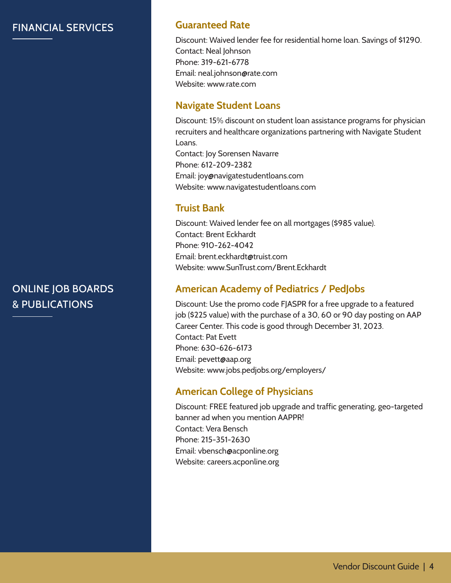# FINANCIAL SERVICES

# ONLINE JOB BOARDS & PUBLICATIONS

# **Guaranteed Rate**

Discount: Waived lender fee for residential home loan. Savings of \$1290. Contact: Neal Johnson Phone: 319-621-6778 Email: neal.johnson@rate.com Website: www.rate.com

# **Navigate Student Loans**

Discount: 15% discount on student loan assistance programs for physician recruiters and healthcare organizations partnering with Navigate Student Loans. Contact: Joy Sorensen Navarre Phone: 612-209-2382 Email: joy@navigatestudentloans.com Website: www.navigatestudentloans.com

# **Truist Bank**

Discount: Waived lender fee on all mortgages (\$985 value). Contact: Brent Eckhardt Phone: 910-262-4042 Email: brent.eckhardt@truist.com Website: www.SunTrust.com/Brent.Eckhardt

# **American Academy of Pediatrics / PedJobs**

Discount: Use the promo code FJASPR for a free upgrade to a featured job (\$225 value) with the purchase of a 30, 60 or 90 day posting on AAP Career Center. This code is good through December 31, 2023. Contact: Pat Evett Phone: 630-626-6173 Email: pevett@aap.org Website: www.jobs.pedjobs.org/employers/

# **American College of Physicians**

Discount: FREE featured job upgrade and traffic generating, geo-targeted banner ad when you mention AAPPR! Contact: Vera Bensch Phone: 215-351-2630 Email: vbensch@acponline.org Website: careers.acponline.org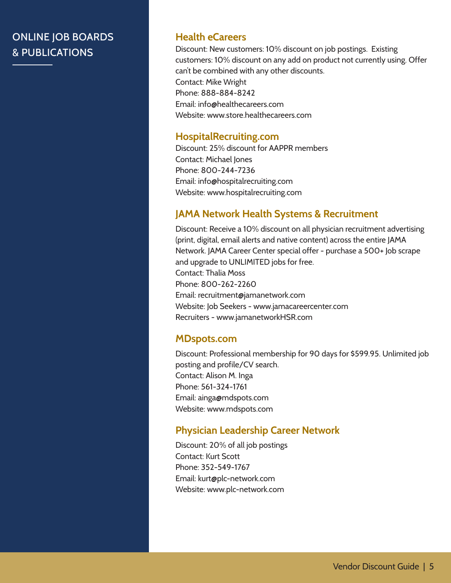# ONLINE JOB BOARDS & PUBLICATIONS

#### **Health eCareers**

Discount: New customers: 10% discount on job postings. Existing customers: 10% discount on any add on product not currently using. Offer can't be combined with any other discounts. Contact: Mike Wright Phone: 888-884-8242 Email: info@healthecareers.com Website: www.store.healthecareers.com

#### **HospitalRecruiting.com**

Discount: 25% discount for AAPPR members Contact: Michael Jones Phone: 800-244-7236 Email: info@hospitalrecruiting.com Website: www.hospitalrecruiting.com

#### **JAMA Network Health Systems & Recruitment**

Discount: Receive a 10% discount on all physician recruitment advertising (print, digital, email alerts and native content) across the entire JAMA Network. JAMA Career Center special offer - purchase a 500+ Job scrape and upgrade to UNLIMITED jobs for free. Contact: Thalia Moss Phone: 800-262-2260 Email: recruitment@jamanetwork.com Website: Job Seekers - www.jamacareercenter.com Recruiters - www.jamanetworkHSR.com

#### **MDspots.com**

Discount: Professional membership for 90 days for \$599.95. Unlimited job posting and profile/CV search. Contact: Alison M. Inga Phone: 561-324-1761 Email: ainga@mdspots.com Website: www.mdspots.com

#### **Physician Leadership Career Network**

Discount: 20% of all job postings Contact: Kurt Scott Phone: 352-549-1767 Email: kurt@plc-network.com Website: www.plc-network.com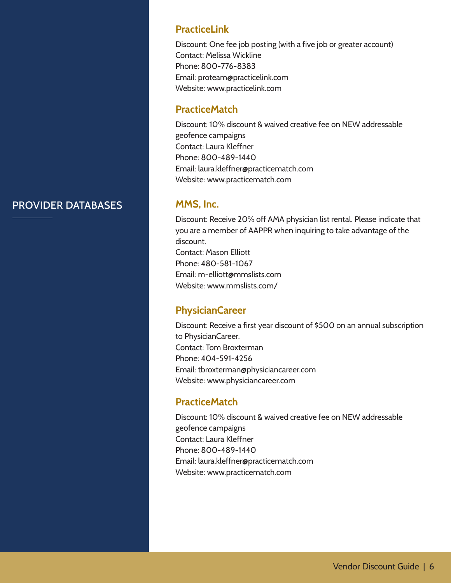#### PROVIDER DATABASES

#### **PracticeLink**

Discount: One fee job posting (with a five job or greater account) Contact: Melissa Wickline Phone: 800-776-8383 Email: proteam@practicelink.com Website: www.practicelink.com

# **PracticeMatch**

Discount: 10% discount & waived creative fee on NEW addressable geofence campaigns Contact: Laura Kleffner Phone: 800-489-1440 Email: laura.kleffner@practicematch.com Website: www.practicematch.com

#### **MMS, Inc.**

Discount: Receive 20% off AMA physician list rental. Please indicate that you are a member of AAPPR when inquiring to take advantage of the discount. Contact: Mason Elliott Phone: 480-581-1067 Email: m-elliott@mmslists.com Website: www.mmslists.com/

# **PhysicianCareer**

Discount: Receive a first year discount of \$500 on an annual subscription to PhysicianCareer. Contact: Tom Broxterman Phone: 404-591-4256 Email: tbroxterman@physiciancareer.com Website: www.physiciancareer.com

# **PracticeMatch**

Discount: 10% discount & waived creative fee on NEW addressable geofence campaigns Contact: Laura Kleffner Phone: 800-489-1440 Email: laura.kleffner@practicematch.com Website: www.practicematch.com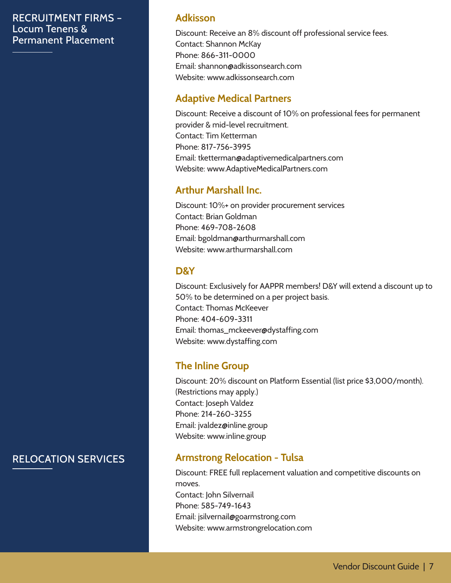#### RECRUITMENT FIRMS – Locum Tenens & Permanent Placement

## **Adkisson**

Discount: Receive an 8% discount off professional service fees. Contact: Shannon McKay Phone: 866-311-0000 Email: shannon@adkissonsearch.com Website: www.adkissonsearch.com

## **Adaptive Medical Partners**

Discount: Receive a discount of 10% on professional fees for permanent provider & mid-level recruitment. Contact: Tim Ketterman Phone: 817-756-3995 Email: tketterman@adaptivemedicalpartners.com Website: www.AdaptiveMedicalPartners.com

# **Arthur Marshall Inc.**

Discount: 10%+ on provider procurement services Contact: Brian Goldman Phone: 469-708-2608 Email: bgoldman@arthurmarshall.com Website: www.arthurmarshall.com

# **D&Y**

Discount: Exclusively for AAPPR members! D&Y will extend a discount up to 50% to be determined on a per project basis. Contact: Thomas McKeever Phone: 404-609-3311 Email: thomas\_mckeever@dystaffing.com Website: www.dystaffing.com

# **The Inline Group**

Discount: 20% discount on Platform Essential (list price \$3,000/month). (Restrictions may apply.) Contact: Joseph Valdez Phone: 214-260-3255 Email: jvaldez@inline.group Website: www.inline.group

# **Armstrong Relocation - Tulsa**

Discount: FREE full replacement valuation and competitive discounts on moves. Contact: John Silvernail Phone: 585-749-1643 Email: jsilvernail@goarmstrong.com Website: www.armstrongrelocation.com

# RELOCATION SERVICES